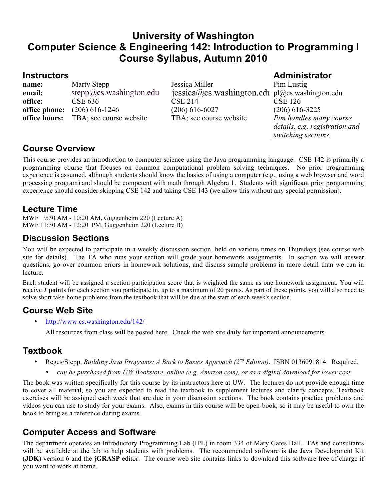# **University of Washington Computer Science & Engineering 142: Introduction to Programming I Course Syllabus, Autumn 2010**

**name:** Marty Stepp Jessica Miller Pim Lustig **email:** stepp@cs.washington.edu jessica@cs.washington.edu pl@cs.washington.edu **office:** CSE 636 CSE 214 CSE 126 **office phone:** (206) 616-1246 (206) 616-6027 (206) 616-3225 **office hours:** TBA; see course website TBA; see course website *Pim handles many course* 

**Instructors Administrator**

*details, e.g. registration and switching sections.*

#### **Course Overview**

This course provides an introduction to computer science using the Java programming language. CSE 142 is primarily a programming course that focuses on common computational problem solving techniques. No prior programming experience is assumed, although students should know the basics of using a computer (e.g., using a web browser and word processing program) and should be competent with math through Algebra 1. Students with significant prior programming experience should consider skipping CSE 142 and taking CSE 143 (we allow this without any special permission).

#### **Lecture Time**

MWF 9:30 AM - 10:20 AM, Guggenheim 220 (Lecture A) MWF 11:30 AM - 12:20 PM, Guggenheim 220 (Lecture B)

## **Discussion Sections**

You will be expected to participate in a weekly discussion section, held on various times on Thursdays (see course web site for details). The TA who runs your section will grade your homework assignments. In section we will answer questions, go over common errors in homework solutions, and discuss sample problems in more detail than we can in lecture.

Each student will be assigned a section participation score that is weighted the same as one homework assignment. You will receive **3 points** for each section you participate in, up to a maximum of 20 points. As part of these points, you will also need to solve short take-home problems from the textbook that will be due at the start of each week's section.

# **Course Web Site**

• http://www.cs.washington.edu/142/

All resources from class will be posted here. Check the web site daily for important announcements.

# **Textbook**

- Reges/Stepp, *Building Java Programs: A Back to Basics Approach (2nd Edition)*. ISBN 0136091814. Required.
	- *can be purchased from UW Bookstore, online (e.g. Amazon.com), or as a digital download for lower cost*

The book was written specifically for this course by its instructors here at UW. The lectures do not provide enough time to cover all material, so you are expected to read the textbook to supplement lectures and clarify concepts. Textbook exercises will be assigned each week that are due in your discussion sections. The book contains practice problems and videos you can use to study for your exams. Also, exams in this course will be open-book, so it may be useful to own the book to bring as a reference during exams.

# **Computer Access and Software**

The department operates an Introductory Programming Lab (IPL) in room 334 of Mary Gates Hall. TAs and consultants will be available at the lab to help students with problems. The recommended software is the Java Development Kit (**JDK**) version 6 and the **jGRASP** editor. The course web site contains links to download this software free of charge if you want to work at home.